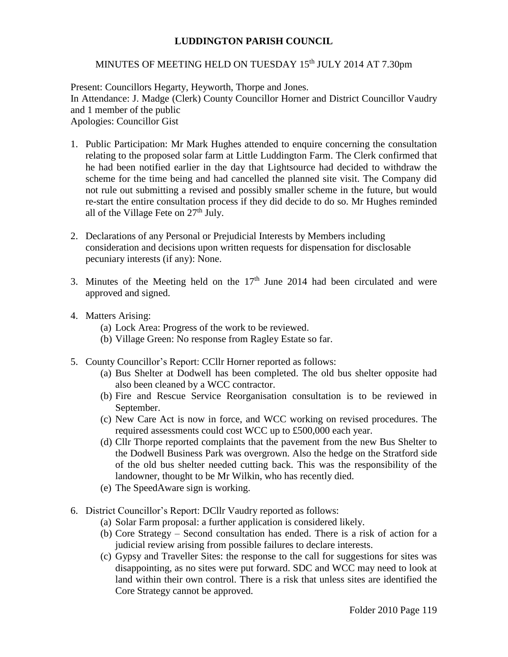## **LUDDINGTON PARISH COUNCIL**

## MINUTES OF MEETING HELD ON TUESDAY 15<sup>th</sup> JULY 2014 AT 7.30pm

Present: Councillors Hegarty, Heyworth, Thorpe and Jones. In Attendance: J. Madge (Clerk) County Councillor Horner and District Councillor Vaudry and 1 member of the public Apologies: Councillor Gist

- 1. Public Participation: Mr Mark Hughes attended to enquire concerning the consultation relating to the proposed solar farm at Little Luddington Farm. The Clerk confirmed that he had been notified earlier in the day that Lightsource had decided to withdraw the scheme for the time being and had cancelled the planned site visit. The Company did not rule out submitting a revised and possibly smaller scheme in the future, but would re-start the entire consultation process if they did decide to do so. Mr Hughes reminded all of the Village Fete on  $27<sup>th</sup>$  July.
- 2. Declarations of any Personal or Prejudicial Interests by Members including consideration and decisions upon written requests for dispensation for disclosable pecuniary interests (if any): None.
- 3. Minutes of the Meeting held on the  $17<sup>th</sup>$  June 2014 had been circulated and were approved and signed.
- 4. Matters Arising:
	- (a) Lock Area: Progress of the work to be reviewed.
	- (b) Village Green: No response from Ragley Estate so far.
- 5. County Councillor's Report: CCllr Horner reported as follows:
	- (a) Bus Shelter at Dodwell has been completed. The old bus shelter opposite had also been cleaned by a WCC contractor.
	- (b) Fire and Rescue Service Reorganisation consultation is to be reviewed in September.
	- (c) New Care Act is now in force, and WCC working on revised procedures. The required assessments could cost WCC up to £500,000 each year.
	- (d) Cllr Thorpe reported complaints that the pavement from the new Bus Shelter to the Dodwell Business Park was overgrown. Also the hedge on the Stratford side of the old bus shelter needed cutting back. This was the responsibility of the landowner, thought to be Mr Wilkin, who has recently died.
	- (e) The SpeedAware sign is working.
- 6. District Councillor's Report: DCllr Vaudry reported as follows:
	- (a) Solar Farm proposal: a further application is considered likely.
	- (b) Core Strategy Second consultation has ended. There is a risk of action for a judicial review arising from possible failures to declare interests.
	- (c) Gypsy and Traveller Sites: the response to the call for suggestions for sites was disappointing, as no sites were put forward. SDC and WCC may need to look at land within their own control. There is a risk that unless sites are identified the Core Strategy cannot be approved.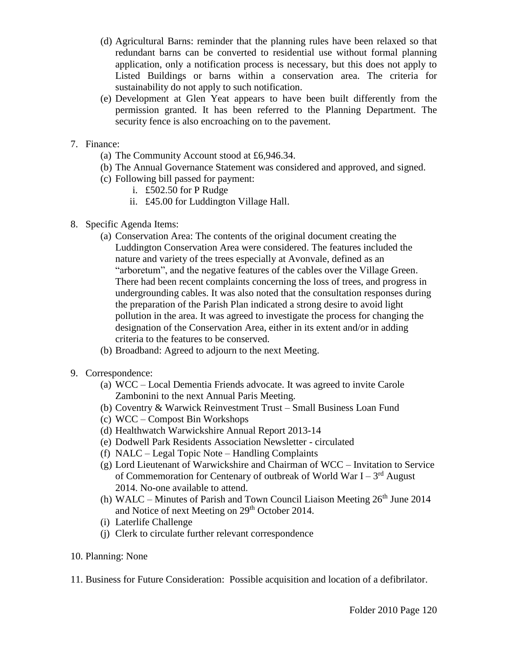- (d) Agricultural Barns: reminder that the planning rules have been relaxed so that redundant barns can be converted to residential use without formal planning application, only a notification process is necessary, but this does not apply to Listed Buildings or barns within a conservation area. The criteria for sustainability do not apply to such notification.
- (e) Development at Glen Yeat appears to have been built differently from the permission granted. It has been referred to the Planning Department. The security fence is also encroaching on to the pavement.
- 7. Finance:
	- (a) The Community Account stood at £6,946.34.
	- (b) The Annual Governance Statement was considered and approved, and signed.
	- (c) Following bill passed for payment:
		- i. £502.50 for P Rudge
		- ii. £45.00 for Luddington Village Hall.
- 8. Specific Agenda Items:
	- (a) Conservation Area: The contents of the original document creating the Luddington Conservation Area were considered. The features included the nature and variety of the trees especially at Avonvale, defined as an "arboretum", and the negative features of the cables over the Village Green. There had been recent complaints concerning the loss of trees, and progress in undergrounding cables. It was also noted that the consultation responses during the preparation of the Parish Plan indicated a strong desire to avoid light pollution in the area. It was agreed to investigate the process for changing the designation of the Conservation Area, either in its extent and/or in adding criteria to the features to be conserved.
	- (b) Broadband: Agreed to adjourn to the next Meeting.
- 9. Correspondence:
	- (a) WCC Local Dementia Friends advocate. It was agreed to invite Carole Zambonini to the next Annual Paris Meeting.
	- (b) Coventry & Warwick Reinvestment Trust Small Business Loan Fund
	- (c) WCC Compost Bin Workshops
	- (d) Healthwatch Warwickshire Annual Report 2013-14
	- (e) Dodwell Park Residents Association Newsletter circulated
	- (f) NALC Legal Topic Note Handling Complaints
	- (g) Lord Lieutenant of Warwickshire and Chairman of WCC Invitation to Service of Commemoration for Centenary of outbreak of World War  $I - 3<sup>rd</sup>$  August 2014. No-one available to attend.
	- (h) WALC Minutes of Parish and Town Council Liaison Meeting  $26<sup>th</sup>$  June 2014 and Notice of next Meeting on 29<sup>th</sup> October 2014.
	- (i) Laterlife Challenge
	- (j) Clerk to circulate further relevant correspondence
- 10. Planning: None
- 11. Business for Future Consideration: Possible acquisition and location of a defibrilator.